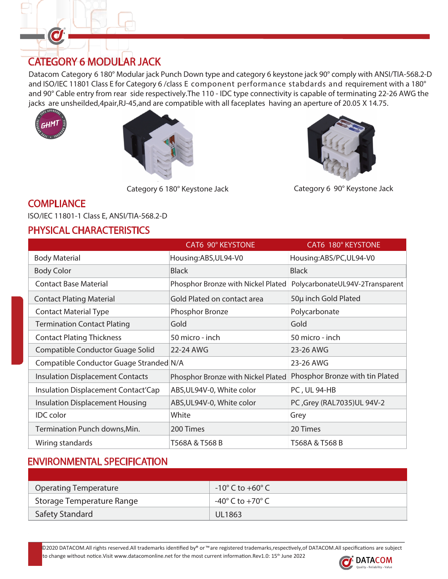## CATEGORY 6 MODULAR JACK

Datacom Category 6 180° Modular jack Punch Down type and category 6 keystone jack 90° comply with ANSI/TIA-568.2-D and ISO/IEC 11801 Class E for Category 6 /class E component performance stabdards and requirement with a 180° and 90° Cable entry from rear side respectively.The 110 - IDC type connectivity is capable of terminating 22-26 AWG the jacks are unsheilded,4pair,RJ-45,and are compatible with all faceplates having an aperture of 20.05 X 14.75.



O



Category 6 180° Keystone Jack Category 6 90° Keystone Jack



### **COMPLIANCE**

ISO/IEC 11801-1 Class E, ANSI/TIA-568.2-D

# PHYSICAL CHARACTERISTICS

|                                         | CAT6 90° KEYSTONE                  | CAT6 180° KEYSTONE              |
|-----------------------------------------|------------------------------------|---------------------------------|
| <b>Body Material</b>                    | Housing:ABS,UL94-V0                | Housing:ABS/PC,UL94-V0          |
| <b>Body Color</b>                       | <b>Black</b>                       | <b>Black</b>                    |
| <b>Contact Base Material</b>            | Phosphor Bronze with Nickel Plated | PolycarbonateUL94V-2Transparent |
| <b>Contact Plating Material</b>         | Gold Plated on contact area        | 50µ inch Gold Plated            |
| <b>Contact Material Type</b>            | Phosphor Bronze                    | Polycarbonate                   |
| <b>Termination Contact Plating</b>      | Gold                               | Gold                            |
| <b>Contact Plating Thickness</b>        | 50 micro - inch                    | 50 micro - inch                 |
| Compatible Conductor Guage Solid        | 22-24 AWG                          | 23-26 AWG                       |
| Compatible Conductor Guage Stranded N/A |                                    | 23-26 AWG                       |
| <b>Insulation Displacement Contacts</b> | Phosphor Bronze with Nickel Plated | Phosphor Bronze with tin Plated |
| Insulation Displacement Contact'Cap     | ABS, UL94V-0, White color          | <b>PC, UL 94-HB</b>             |
| <b>Insulation Displacement Housing</b>  | ABS, UL94V-0, White color          | PC , Grey (RAL7035) UL 94V-2    |
| <b>IDC</b> color                        | White                              | Grey                            |
| Termination Punch downs, Min.           | 200 Times                          | 20 Times                        |
| Wiring standards                        | T568A & T568 B                     | T568A & T568 B                  |

### ENVIRONMENTAL SPECIFICATION

| Operating Temperature     | $-10^{\circ}$ C to $+60^{\circ}$ C |
|---------------------------|------------------------------------|
| Storage Temperature Range | -40° C to +70° C                   |
| <b>Safety Standard</b>    | <b>UL1863</b>                      |

©2020 DATACOM.All rights reserved.All trademarks identified by® or ™are registered trademarks,respectively,of DATACOM.All specifications are subject

to change without notice. Visit www.datacomonline.net for the most current information.Rev1.0: 15<sup>th</sup> June 2022